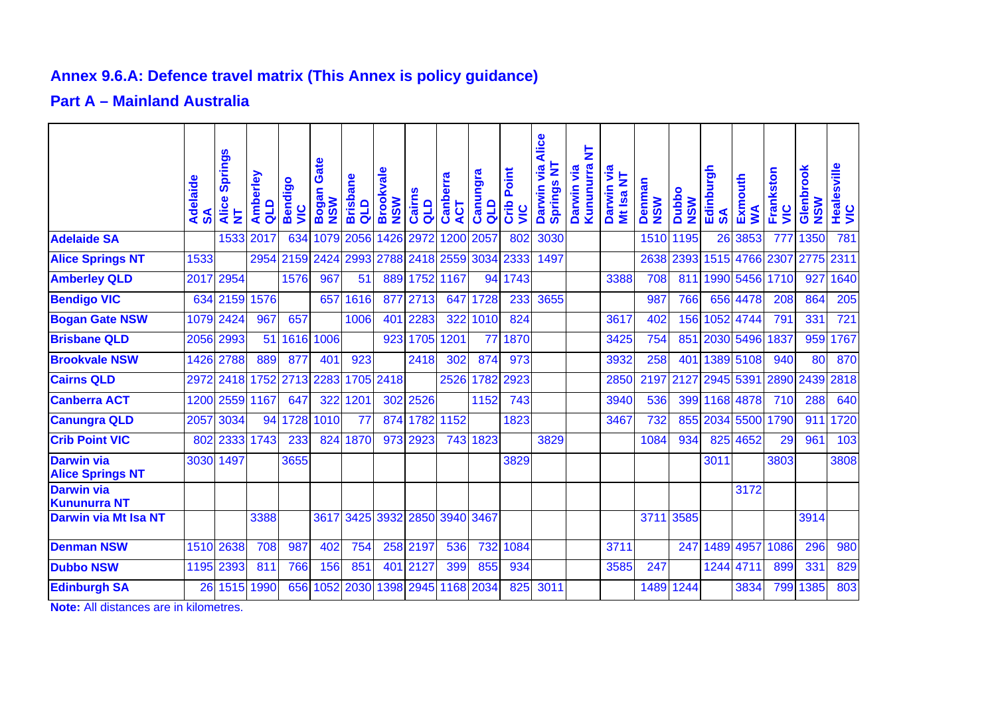## **Annex 9.6.A: Defence travel matrix (This Annex is policy guidance)**

## **Part A – Mainland Australia**

|                                              | Adelaide<br>$\boldsymbol{\mathsf{s}}$ | <b>Springs</b><br>Alice<br>₹ | Amberley<br>qua | Bendigo<br><u>s</u> | Gate<br>Bogan<br><b>NSW</b> | <b>Brisbane</b><br>qup | <b>Brookvale</b><br><b>NSW</b> | Cairns<br>qup  | Canberra<br><b>ACT</b> | Canungra<br>$\frac{d}{d}$ | Point<br>Crib<br><b>SIN</b> | Alice<br>₹<br><b>Darwin via</b><br>Springs | 눈<br>Kununura<br>Darwin via | yia<br>Mt Isa NT<br><b>Darwin</b> | Denman<br><b>NSW</b> | Dubbo<br><b>NSW</b> | Edinburgh<br>$\boldsymbol{S}$ | Exmouth<br>≸   | Frankston<br><u>ט</u> | Glenbrook<br><b>NSW</b> | Healesville<br>VIC |
|----------------------------------------------|---------------------------------------|------------------------------|-----------------|---------------------|-----------------------------|------------------------|--------------------------------|----------------|------------------------|---------------------------|-----------------------------|--------------------------------------------|-----------------------------|-----------------------------------|----------------------|---------------------|-------------------------------|----------------|-----------------------|-------------------------|--------------------|
| <b>Adelaide SA</b>                           |                                       | 1533                         | 2017            | 634                 | 1079                        | 2056                   | 1426                           | 2972           | 1200                   | 2057                      | 802                         | 3030                                       |                             |                                   | 1510                 | 1195                | 26                            | 3853           | 777                   | 1350                    | 781                |
| <b>Alice Springs NT</b>                      | 1533                                  |                              | 2954            | 2159                | 2424                        | 2993                   |                                | 2788 2418 2559 |                        | 3034                      | 2333                        | 1497                                       |                             |                                   | 2638                 | 2393                |                               | 1515 4766 2307 |                       | 2775 2311               |                    |
| <b>Amberley QLD</b>                          | 2017                                  | 2954                         |                 | 1576                | 967                         | 51                     | 889                            | 1752 1167      |                        | 94                        | 1743                        |                                            |                             | 3388                              | 708                  | 811                 |                               | 1990 5456      | 1710                  | 927                     | 1640               |
| <b>Bendigo VIC</b>                           | 634                                   | 2159                         | 1576            |                     | 657                         | 1616                   |                                | 877 2713       | 647                    | 1728                      | 233                         | 3655                                       |                             |                                   | 987                  | 766                 | 656                           | 4478           | 208                   | 864                     | 205                |
| <b>Bogan Gate NSW</b>                        | 1079                                  | 2424                         | 967             | 657                 |                             | 1006                   | 401                            | 2283           | 322                    | 1010                      | 824                         |                                            |                             | 3617                              | 402                  | 156                 |                               | 1052 4744      | 791                   | 331                     | 721                |
| <b>Brisbane QLD</b>                          | 2056                                  | 2993                         | 51              |                     | 1616 1006                   |                        | 923                            | 1705           | 1201                   | 77                        | 1870                        |                                            |                             | 3425                              | 754                  | 851                 |                               | 2030 5496      | 1837                  | 959                     | 1767               |
| <b>Brookvale NSW</b>                         | 1426                                  | 2788                         | 889             | 877                 | 401                         | 923                    |                                | 2418           | 302                    | 874                       | 973                         |                                            |                             | 3932                              | 258                  | 401                 |                               | 1389 5108      | 940                   | 80                      | 870                |
| <b>Cairns QLD</b>                            | 2972                                  | 2418                         | 1752            | 2713                | 2283                        |                        | 1705 2418                      |                | 2526                   | 1782                      | 2923                        |                                            |                             | 2850                              | 2197                 | 2127                |                               | 2945 5391      | 2890                  |                         | 2439 2818          |
| <b>Canberra ACT</b>                          | 1200                                  | 2559                         | 1167            | 647                 | 322                         | 1201                   |                                | 302 2526       |                        | 1152                      | 743                         |                                            |                             | 3940                              | 536                  | 399                 |                               | 1168 4878      | 710                   | 288                     | 640                |
| <b>Canungra QLD</b>                          | 2057                                  | 3034                         | 94              | 1728                | 1010                        | 77                     | 874                            |                | 1782 1152              |                           | 1823                        |                                            |                             | 3467                              | 732                  | 855                 | 2034                          |                | 5500 1790             | 911                     | 1720               |
| <b>Crib Point VIC</b>                        | 802                                   | 2333                         | 1743            | 233                 | 824                         | 1870                   |                                | 973 2923       | 743                    | 1823                      |                             | 3829                                       |                             |                                   | 1084                 | 934                 |                               | 825 4652       | 29                    | 961                     | 103                |
| <b>Darwin via</b><br><b>Alice Springs NT</b> | 3030                                  | 1497                         |                 | 3655                |                             |                        |                                |                |                        |                           | 3829                        |                                            |                             |                                   |                      |                     | 3011                          |                | 3803                  |                         | 3808               |
| <b>Darwin via</b><br><b>Kununurra NT</b>     |                                       |                              |                 |                     |                             |                        |                                |                |                        |                           |                             |                                            |                             |                                   |                      |                     |                               | 3172           |                       |                         |                    |
| <b>Darwin via Mt Isa NT</b>                  |                                       |                              | 3388            |                     | 3617                        |                        |                                | 3425 3932 2850 | 3940                   | 3467                      |                             |                                            |                             |                                   | 3711                 | 3585                |                               |                |                       | 3914                    |                    |
| <b>Denman NSW</b>                            | 1510                                  | 2638                         | 708             | 987                 | 402                         | 754                    |                                | 258 2197       | 536                    | 732                       | 1084                        |                                            |                             | 3711                              |                      | 247                 | 1489                          | 4957           | 1086                  | 296                     | 980                |
| <b>Dubbo NSW</b>                             | 1195                                  | 2393                         | 811             | 766                 | 156                         | 851                    |                                | 401 2127       | 399                    | 855                       | 934                         |                                            |                             | 3585                              | 247                  |                     | 1244                          | 4711           | 899                   | 331                     | 829                |
| <b>Edinburgh SA</b>                          | 26                                    | 1515                         | 1990            | 656                 | 1052                        | 2030                   | 1398                           | 2945           |                        | 1168 2034                 | 825                         | 3011                                       |                             |                                   | 1489                 | 1244                |                               | 3834           | 799                   | 1385                    | 803                |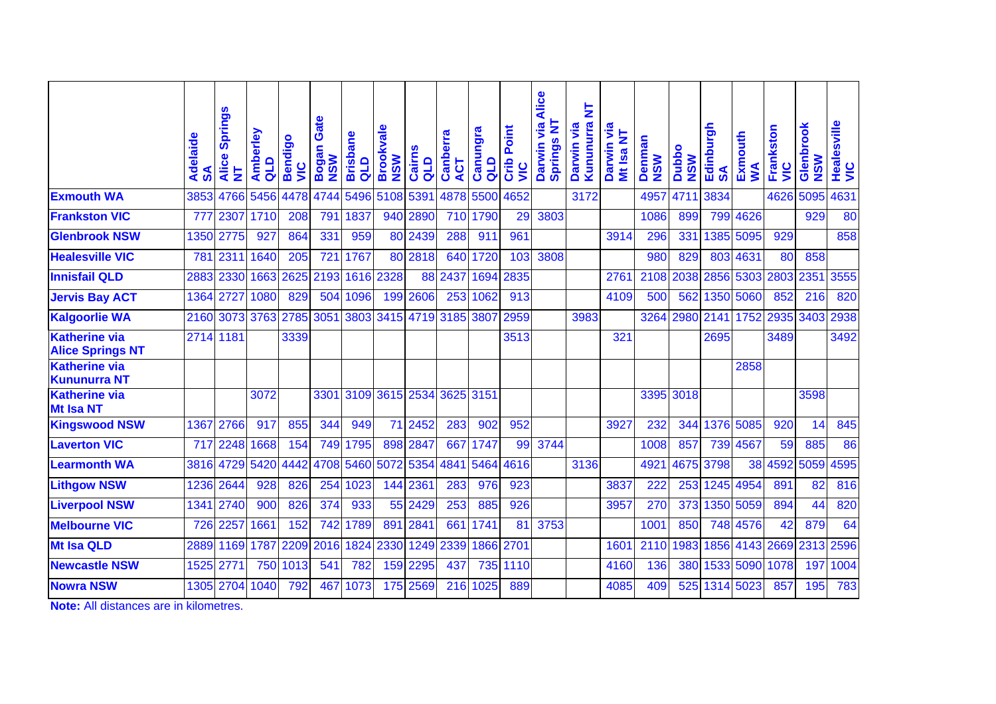|                                                 | Adelaide<br>$\boldsymbol{\mathsf{s}}$ | <b>Springs</b><br>Alice<br>$\overline{\mathsf{z}}$ | Amberley<br>QLD | Bendigo<br><u>SN</u> | Gate<br>Bogan<br><b>NSW</b> | <b>Brisbane</b><br>qLD | <b>Brookvale</b><br><b>NSW</b> | Cairns<br>alD                 | Canberra<br>5<br>∢ | <b>Canungra</b><br>qua | Point<br>Crib<br><u>ую</u> | Alice<br>₹<br>Darwin via<br>Springs | 눈<br>Kununurra<br>Darwin via | ja<br>Ξ<br><b>Darwin</b><br><b>Mt Isa</b> | Denman<br><b>NSW</b> | <b>Dubbo</b><br><b>NSW</b> | Edinburgh<br>$\mathbf{S}$ | Exmouth<br>S   | Frankston<br><u>ی</u><br>ح | Glenbrook<br><b>NSW</b> | Healesville<br>VIC |
|-------------------------------------------------|---------------------------------------|----------------------------------------------------|-----------------|----------------------|-----------------------------|------------------------|--------------------------------|-------------------------------|--------------------|------------------------|----------------------------|-------------------------------------|------------------------------|-------------------------------------------|----------------------|----------------------------|---------------------------|----------------|----------------------------|-------------------------|--------------------|
| <b>Exmouth WA</b>                               | 3853                                  | 4766                                               | 5456            | 4478                 | 4744                        | 5496                   | 5108                           | 5391                          | 4878               | 5500                   | 4652                       |                                     | 3172                         |                                           | 4957                 | 4711                       | 3834                      |                | 4626                       | 5095                    | 4631               |
| <b>Frankston VIC</b>                            | 777                                   | 2307                                               | 1710            | 208                  | 791                         | 1837                   | 940                            | 2890                          | 710                | 1790                   | 29                         | 3803                                |                              |                                           | 1086                 | 899                        |                           | 799 4626       |                            | 929                     | 80                 |
| <b>Glenbrook NSW</b>                            | 1350                                  | 2775                                               | 927             | 864                  | 331                         | 959                    | 80                             | 2439                          | 288                | 911                    | 961                        |                                     |                              | 3914                                      | 296                  | 331                        |                           | 1385 5095      | 929                        |                         | 858                |
| <b>Healesville VIC</b>                          | 781                                   | 2311                                               | 1640            | 205                  | 721                         | 1767                   | 80                             | 2818                          | 640                | 1720                   | 103                        | 3808                                |                              |                                           | 980                  | 829                        |                           | 803 4631       | 80                         | 858                     |                    |
| <b>Innisfail QLD</b>                            | 2883                                  | 2330                                               | 1663            | 2625                 | 2193                        | 1616                   | 2328                           | 88                            | 2437               | 1694                   | 2835                       |                                     |                              | 2761                                      | 2108                 | 2038                       |                           | 2856 5303 2803 |                            | 2351                    | 3555               |
| <b>Jervis Bay ACT</b>                           | 1364 2727                             |                                                    | 1080            | 829                  | 504                         | 1096                   | 199                            | 2606                          | 253                | 1062                   | 913                        |                                     |                              | 4109                                      | 500                  | 562                        |                           | 1350 5060      | 852                        | 216                     | 820                |
| <b>Kalgoorlie WA</b>                            |                                       | 2160 3073                                          | 3763 2785       |                      | 3051                        | 3803                   | 3415                           |                               | 4719 3185          | 3807                   | 2959                       |                                     | 3983                         |                                           | 3264                 | 2980                       |                           | 2141 1752      | 2935                       | 3403                    | 2938               |
| <b>Katherine via</b><br><b>Alice Springs NT</b> | 2714 1181                             |                                                    |                 | 3339                 |                             |                        |                                |                               |                    |                        | 3513                       |                                     |                              | 321                                       |                      |                            | 2695                      |                | 3489                       |                         | 3492               |
| <b>Katherine via</b><br><b>Kununurra NT</b>     |                                       |                                                    |                 |                      |                             |                        |                                |                               |                    |                        |                            |                                     |                              |                                           |                      |                            |                           | 2858           |                            |                         |                    |
| <b>Katherine via</b><br><b>Mt Isa NT</b>        |                                       |                                                    | 3072            |                      |                             |                        |                                | 3301 3109 3615 2534 3625 3151 |                    |                        |                            |                                     |                              |                                           |                      | 3395 3018                  |                           |                |                            | 3598                    |                    |
| <b>Kingswood NSW</b>                            |                                       | 1367 2766                                          | 917             | 855                  | 344                         | 949                    | 71                             | 2452                          | 283                | 902                    | 952                        |                                     |                              | 3927                                      | 232                  | 344                        |                           | 1376 5085      | 920                        | 14                      | 845                |
| <b>Laverton VIC</b>                             |                                       | 717 2248                                           | 1668            | 154                  | 749                         | 1795                   | 898                            | 2847                          | 667                | 1747                   | 99                         | 3744                                |                              |                                           | 1008                 | 857                        |                           | 739 4567       | 59                         | 885                     | 86                 |
| <b>Learmonth WA</b>                             |                                       | 3816 4729                                          | 5420            | 4442                 | 4708                        | 5460                   | 5072                           | 5354                          | 4841               | 5464                   | 4616                       |                                     | 3136                         |                                           | 4921                 | 4675                       | 3798                      | 38             | 4592                       | 5059                    | 4595               |
| <b>Lithgow NSW</b>                              | 1236                                  | 2644                                               | 928             | 826                  | 254                         | 1023                   | 144                            | 2361                          | 283                | 976                    | 923                        |                                     |                              | 3837                                      | 222                  | 253                        |                           | 1245 4954      | 891                        | 82                      | 816                |
| <b>Liverpool NSW</b>                            |                                       | 1341 2740                                          | 900             | 826                  | 374                         | 933                    | 55                             | 2429                          | 253                | 885                    | 926                        |                                     |                              | 3957                                      | 270                  | 373                        |                           | 1350 5059      | 894                        | 44                      | 820                |
| <b>Melbourne VIC</b>                            |                                       | 726 2257                                           | 1661            | 152                  | 742                         | 1789                   | 891                            | 2841                          | 661                | 1741                   | 81                         | 3753                                |                              |                                           | 1001                 | 850                        |                           | 748 4576       | 42                         | 879                     | 64                 |
| <b>Mt Isa QLD</b>                               | 2889                                  | 1169                                               | 1787            |                      | 2209 2016                   | 1824                   | 2330                           | 1249                          | 2339               | 1866                   | 2701                       |                                     |                              | 1601                                      | 2110                 | 1983                       |                           | 1856 4143 2669 |                            | 2313 2596               |                    |
| <b>Newcastle NSW</b>                            | 1525                                  | 277                                                | 750             | 1013                 | 541                         | 782                    | 159                            | 2295                          | 437                | 735                    | 1110                       |                                     |                              | 4160                                      | 136                  | 380                        |                           |                | 1533 5090 1078             | 197                     | 1004               |
| <b>Nowra NSW</b>                                |                                       | 1305 2704                                          | 1040            | 792                  | 467                         | 1073                   | 175                            | 2569                          | 216                | 1025                   | 889                        |                                     |                              | 4085                                      | 409                  | 525                        |                           | 1314 5023      | 857                        | 195                     | 783                |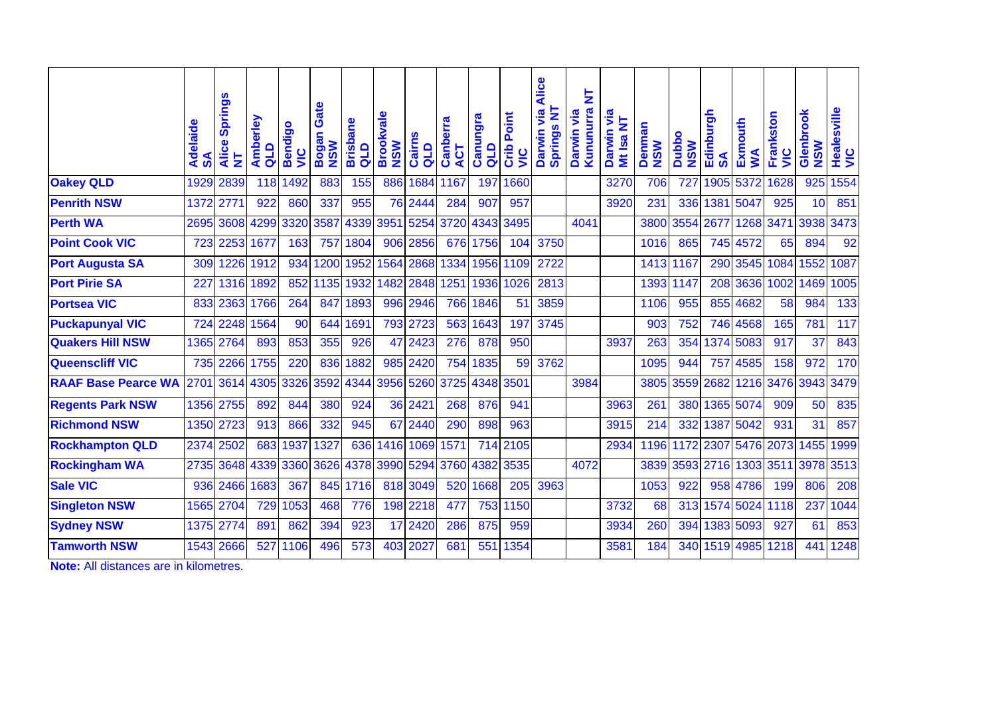|                            | Adelaide<br>SA | <b>Springs</b><br>Alice<br>₹ | Amberley<br>quo | <b>Bendigo</b><br><b>SIN</b> | Gate<br>Bogan<br><b>NSW</b> | <b>Brisbane</b><br>quo | <b>Brookvale</b><br><b>NSW</b> | <b>Cairns</b><br>QLD | Canberra<br>ACT | Canungra<br>$\frac{d}{d}$ | Point<br>Crib<br><u>يا</u> | <b>Alice</b><br><b>Springs NT</b><br>$\overline{\mathbf{v}}$<br><b>Darwin</b> | 눌<br>Kununurra<br>Darwin via | $\overline{\mathsf{z}}$<br>$\overline{\mathsf{z}}$<br><b>Darwin</b><br><b>Mt Isa</b> | Denman<br><b>NSW</b> | <b>Dubbo</b><br><b>NSW</b> | Edinburgh<br>వ్ | Exmouth<br>≸ | Frankston<br>$\frac{\mathbf{c}}{\mathbf{c}}$ | Glenbrook<br><b>NSW</b> | Healesville<br>VIC |
|----------------------------|----------------|------------------------------|-----------------|------------------------------|-----------------------------|------------------------|--------------------------------|----------------------|-----------------|---------------------------|----------------------------|-------------------------------------------------------------------------------|------------------------------|--------------------------------------------------------------------------------------|----------------------|----------------------------|-----------------|--------------|----------------------------------------------|-------------------------|--------------------|
| <b>Oakey QLD</b>           | 1929           | 2839                         | 118             | 1492                         | 883                         | 155                    | 886                            | 1684                 | 1167            | 197                       | 1660                       |                                                                               |                              | 3270                                                                                 | 706                  | 727                        | 1905            | 5372         | 1628                                         | 925                     | 1554               |
| <b>Penrith NSW</b>         | 1372           | 277'                         | 922             | 860                          | 337                         | 955                    | 76                             | 2444                 | 284             | 907                       | 957                        |                                                                               |                              | 3920                                                                                 | 231                  | 336                        | 1381            | 5047         | 925                                          | 10                      | 851                |
| <b>Perth WA</b>            | 2695           | 3608                         | 4299            | 3320                         | 3587                        | 4339                   | 3951                           | 5254                 | 3720            | 4343                      | 3495                       |                                                                               | 4041                         |                                                                                      | 3800                 | 3554                       | 2677            | 1268         | 3471                                         | 3938                    | 3473               |
| <b>Point Cook VIC</b>      | 723            | 2253                         | 1677            | 163                          | 757                         | 1804                   | 906                            | 2856                 |                 | 676 1756                  | 104                        | 3750                                                                          |                              |                                                                                      | 1016                 | 865                        | 745             | 4572         | 65                                           | 894                     | 92                 |
| <b>Port Augusta SA</b>     | 309            | 1226                         | 1912            | 934                          | 1200                        | 1952                   | 1564                           | 2868                 | 1334            | 1956                      | 1109                       | 2722                                                                          |                              |                                                                                      | 1413                 | 1167                       |                 | 290 3545     | 1084                                         | 1552                    | 1087               |
| <b>Port Pirie SA</b>       | 227            | 1316                         | 1892            | 852                          | 1135                        | 1932                   | 1482                           | 2848                 | 1251            | 1936                      | 1026                       | 2813                                                                          |                              |                                                                                      | 1393                 | 1147                       |                 | 208 3636     | 1002                                         | 1469                    | 1005               |
| <b>Portsea VIC</b>         | 833            | 2363                         | 1766            | 264                          | 847                         | 1893                   | 996                            | 2946                 | 766             | 1846                      | 51                         | 3859                                                                          |                              |                                                                                      | 1106                 | 955                        | 855             | 4682         | 58                                           | 984                     | 133                |
| <b>Puckapunyal VIC</b>     | 724            | 2248                         | 1564            | 90                           | 644                         | 1691                   |                                | 793 2723             | 563             | 1643                      | 197                        | 3745                                                                          |                              |                                                                                      | 903                  | 752                        |                 | 746 4568     | 165                                          | 781                     | 117                |
| <b>Quakers Hill NSW</b>    |                | 1365 2764                    | 893             | 853                          | 355                         | 926                    | 47                             | 2423                 | 276             | 878                       | 950                        |                                                                               |                              | 3937                                                                                 | 263                  | 354                        |                 | 1374 5083    | 917                                          | 37                      | 843                |
| <b>Queenscliff VIC</b>     |                | 735 2266                     | 1755            | 220                          | 836                         | 1882                   | 985                            | 2420                 | 754             | 1835                      | 59                         | 3762                                                                          |                              |                                                                                      | 1095                 | 944                        | 757             | 4585         | 158                                          | 972                     | 170                |
| <b>RAAF Base Pearce WA</b> | 2701           | 3614                         | 4305            | 3326                         | 3592                        | 4344                   | 3956                           | 5260                 | 3725            | 4348                      | 3501                       |                                                                               | 3984                         |                                                                                      | 3805                 | 3559                       | 2682            |              | 1216 3476                                    | 3943                    | 3479               |
| <b>Regents Park NSW</b>    |                | 1356 2755                    | 892             | 844                          | 380                         | 924                    | 36                             | 2421                 | 268             | 876                       | 941                        |                                                                               |                              | 3963                                                                                 | 261                  | 380                        |                 | 1365 5074    | 909                                          | 50                      | 835                |
| <b>Richmond NSW</b>        |                | 1350 2723                    | 913             | 866                          | 332                         | 945                    | 67                             | 2440                 | 290             | 898                       | 963                        |                                                                               |                              | 3915                                                                                 | 214                  | 332                        | 1387            | 5042         | 931                                          | 31                      | 857                |
| <b>Rockhampton QLD</b>     | 2374           | 2502                         | 683             | 1937                         | 1327                        | 636                    | 1416                           | 1069                 | 1571            | 714                       | 2105                       |                                                                               |                              | 2934                                                                                 | 1196                 | 1172                       | 2307            | 5476 2073    |                                              | 1455                    | 1999               |
| <b>Rockingham WA</b>       | 2735           | 3648                         | 4339            | 3360                         | 3626                        | 4378                   | 3990                           | 5294                 | 3760            | 4382                      | 3535                       |                                                                               | 4072                         |                                                                                      | 3839                 | 3593                       | 2716            | 1303         | 3511                                         | 3978                    | 3513               |
| <b>Sale VIC</b>            | 936            | 2466                         | 1683            | 367                          | 845                         | 1716                   | 818                            | 3049                 | 520             | 1668                      | 205                        | 3963                                                                          |                              |                                                                                      | 1053                 | 922                        |                 | 958 4786     | 199                                          | 806                     | 208                |
| <b>Singleton NSW</b>       | 1565           | 2704                         | 729             | 1053                         | 468                         | 776                    | 198                            | 2218                 | 477             | 753                       | 1150                       |                                                                               |                              | 3732                                                                                 | 68                   | 313                        |                 | 1574 5024    | 1118                                         | 237                     | 1044               |
| <b>Sydney NSW</b>          | 1375           | 2774                         | 891             | 862                          | 394                         | 923                    | 17                             | 2420                 | 286             | 875                       | 959                        |                                                                               |                              | 3934                                                                                 | 260                  | 394                        |                 | 1383 5093    | 927                                          | 61                      | 853                |
| <b>Tamworth NSW</b>        | 1543           | 2666                         | 527             | 1106                         | 496                         | 573                    | 403                            | 2027                 | 681             | 551                       | 1354                       |                                                                               |                              | 3581                                                                                 | 184                  | 340                        |                 | 1519 4985    | 1218                                         | 441                     | 1248               |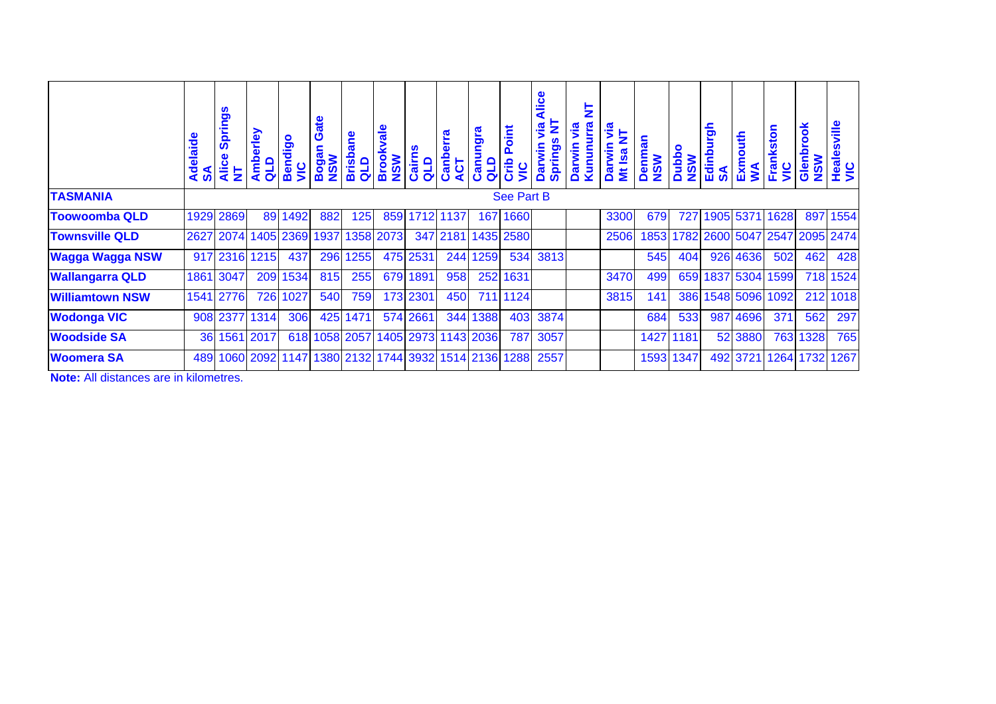|                        | Adelaide<br>SA | <b>Springs</b><br><b>Alice</b><br>툳 | rley<br>Amb<br>QLD | Bendigo<br>$rac{c}{\sqrt{c}}$                     | ate<br><b>NSM</b> | <b>Brisbane</b><br>qup | kvale<br><b>NSW</b><br><b>Broo</b> | Cairns<br>qup       | erra<br>Canb<br>ACT | ဇူ<br>ටා<br>Canu<br>QLD | oint<br>$\mathbf{a}$<br>Crib<br>SIN | Alice<br>₹<br>yia<br><b>Darwin</b><br><b>Springs</b> | ₹<br><u>ia</u><br><b>Darwin</b><br>Kunun | ႜၟႝ<br>툳<br>Darwin<br><b>Mt Isa</b> | enman<br><b>NSW</b> | <b>Dubbo</b><br><b>NSW</b> | urgh<br>Edinby<br>$\mathbf{S}$ | Exmouth<br>WA | Frankston<br><b>SIN</b>       | Glenbrook<br><b>NSW</b> | Healesville<br>VIC |
|------------------------|----------------|-------------------------------------|--------------------|---------------------------------------------------|-------------------|------------------------|------------------------------------|---------------------|---------------------|-------------------------|-------------------------------------|------------------------------------------------------|------------------------------------------|-------------------------------------|---------------------|----------------------------|--------------------------------|---------------|-------------------------------|-------------------------|--------------------|
| <b>TASMANIA</b>        |                |                                     |                    |                                                   |                   |                        |                                    |                     |                     |                         | <b>See Part B</b>                   |                                                      |                                          |                                     |                     |                            |                                |               |                               |                         |                    |
| <b>Toowoomba QLD</b>   | 1929           | 2869                                | 89                 | 1492                                              | 882               | 125                    | 859                                |                     | 1712 1137           | 167                     | 1660                                |                                                      |                                          | 3300                                | 679                 | 727                        |                                | 1905 5371     | 1628                          | 897                     | 1554               |
| <b>Townsville QLD</b>  | 2627           | 2074                                | 1405               | 2369                                              | 1937              |                        | 1358 2073                          |                     | 347 2181            |                         | 1435 2580                           |                                                      |                                          | 2506                                | 1853                |                            |                                |               | 1782 2600 5047 2547 2095 2474 |                         |                    |
| <b>Wagga Wagga NSW</b> | 917            | 2316                                | 1215               | 437                                               | 296               | 1255                   | 475                                | 2531                | 244                 | 1259                    | 534                                 | 3813                                                 |                                          |                                     | 545                 | 404                        | 926                            | 4636          | 502                           | 462                     | 428                |
| <b>Wallangarra QLD</b> | 1861           | 3047                                | 209                | 1534                                              | 815               | 255                    | 679                                | 1891                | 958                 |                         | 252 1631                            |                                                      |                                          | 3470                                | 499                 | 659                        |                                | 1837 5304     | 1599                          |                         | 718 1524           |
| <b>Williamtown NSW</b> | 1541           | 2776                                | 726                | 1027                                              | 540               | 759                    |                                    | 173 2301            | 450                 |                         | 711 1124                            |                                                      |                                          | 3815                                | 141                 | 386                        |                                | 1548 5096     | 1092                          |                         | 212 1018           |
| <b>Wodonga VIC</b>     | 908            | 2377                                | 1314               | 306                                               | 425               | 1471                   |                                    | 574 2661            | 344                 | 1388                    | 403                                 | 3874                                                 |                                          |                                     | 684                 | 533                        |                                | 987 4696      | 371                           | 562                     | 297                |
| <b>Woodside SA</b>     | 36             |                                     | 1561 2017          |                                                   |                   | 618 1058 2057          |                                    | 1405 2973 1143 2036 |                     |                         | 787                                 | 3057                                                 |                                          |                                     | 1427                | 1181                       |                                | 52 3880       | 763                           | 1328                    | 765                |
| <b>Woomera SA</b>      | 489            |                                     |                    | 1060 2092 1147 1380 2132 1744 3932 1514 2136 1288 |                   |                        |                                    |                     |                     |                         |                                     | 2557                                                 |                                          |                                     | 1593                | 1347                       |                                | 492 3721      |                               | 1264 1732               | 1267               |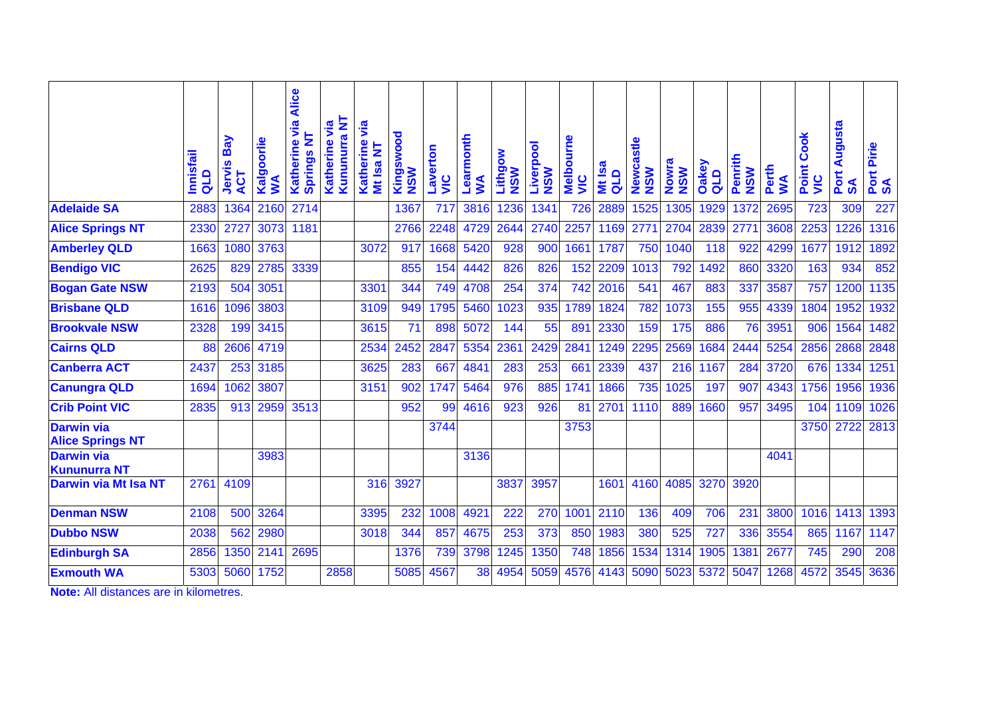|                                                     | Innisfail<br>qup | Bay<br>Jervis<br>ACT | Kalgoorlie<br>Š | Katherine via Alice<br><b>Springs NT</b> | Kununurra NT<br>yia<br>Katherine | yia<br>Katherine<br>Mt Isa NT | Kingswood<br><b>NSW</b> | Laverton<br><u>Si</u> | Learmonth<br>$\mathbf{S}$ | Lithgow<br><b>NSW</b> | Liverpool<br><b>NSW</b> | <b>Melbourne</b><br>$rac{c}{\sqrt{2}}$ | <b>Mt Isa</b><br>qup | Newcastle<br><b>NSW</b> | Nowra<br><b>NSW</b> | <b>Oakey</b><br>q <sub>1</sub> | Penrith<br><b>NSW</b> | Perth<br><b>NW</b> | <b>Cook</b><br>Point<br><b>SIN</b> | Augusta<br>Port<br>SA | Pirie<br>Port<br>SA |
|-----------------------------------------------------|------------------|----------------------|-----------------|------------------------------------------|----------------------------------|-------------------------------|-------------------------|-----------------------|---------------------------|-----------------------|-------------------------|----------------------------------------|----------------------|-------------------------|---------------------|--------------------------------|-----------------------|--------------------|------------------------------------|-----------------------|---------------------|
| <b>Adelaide SA</b>                                  | 2883             | 1364                 | 2160            | 2714                                     |                                  |                               | 1367                    | 717                   | 3816                      | 1236                  | 1341                    | 726                                    | 2889                 | 1525                    | 1305                | 1929                           | 1372                  | 2695               | 723                                | 309                   | 227                 |
| <b>Alice Springs NT</b>                             | 2330             | 2727                 | 3073            | 1181                                     |                                  |                               | 2766                    | 2248                  | 4729                      | 2644                  | 2740                    | 2257                                   | 1169                 | 2771                    | 2704                | 2839                           | $\overline{277}$      | 3608               | 2253                               | 1226                  | 1316                |
| <b>Amberley QLD</b>                                 | 1663             | 1080                 | 3763            |                                          |                                  | 3072                          | 917                     | 1668                  | 5420                      | 928                   | 900                     | 1661                                   | 1787                 | 750                     | 1040                | 118                            | 922                   | 4299               | 1677                               | 1912                  | 1892                |
| <b>Bendigo VIC</b>                                  | 2625             | 829                  | 2785            | 3339                                     |                                  |                               | 855                     | 154                   | 4442                      | 826                   | 826                     | 152                                    | 2209                 | 1013                    | 792                 | 1492                           | 860                   | 3320               | 163                                | 934                   | 852                 |
| <b>Bogan Gate NSW</b>                               | 2193             | 504                  | 3051            |                                          |                                  | 3301                          | 344                     | 749                   | 4708                      | 254                   | 374                     | 742                                    | 2016                 | 541                     | 467                 | 883                            | 337                   | 3587               | 757                                | 1200                  | 1135                |
| <b>Brisbane QLD</b>                                 | 1616             | 1096                 | 3803            |                                          |                                  | 3109                          | 949                     | 1795                  | 5460                      | 1023                  | 935                     | 1789                                   | 1824                 | 782                     | 1073                | 155                            | 955                   | 4339               | 1804                               | 1952                  | 1932                |
| <b>Brookvale NSW</b>                                | 2328             | 199                  | 3415            |                                          |                                  | 3615                          | 71                      | 898                   | 5072                      | 144                   | 55                      | 891                                    | 2330                 | 159                     | 175                 | 886                            | 76                    | 3951               | 906                                | 1564                  | 1482                |
| <b>Cairns QLD</b>                                   | 88               | 2606                 | 4719            |                                          |                                  | 2534                          | 2452                    | 2847                  | 5354                      | 2361                  | 2429                    | 2841                                   | 1249                 | 2295                    | 2569                | 1684                           | 2444                  | 5254               | 2856                               | 2868                  | 2848                |
| <b>Canberra ACT</b>                                 | 2437             | 253                  | 3185            |                                          |                                  | 3625                          | 283                     | 667                   | 4841                      | 283                   | 253                     | 661                                    | 2339                 | 437                     | 216                 | 1167                           | 284                   | 3720               | 676                                | 1334                  | 1251                |
| <b>Canungra QLD</b>                                 | 1694             | 1062                 | 3807            |                                          |                                  | 3151                          | 902                     | 1747                  | 5464                      | 976                   | 885                     | 1741                                   | 1866                 | 735                     | 1025                | 197                            | 907                   | 4343               | 1756                               | 1956                  | 1936                |
| <b>Crib Point VIC</b>                               | 2835             | 913                  | 2959            | 3513                                     |                                  |                               | 952                     | 99                    | 4616                      | 923                   | 926                     | 81                                     | 2701                 | 1110                    | 889                 | 1660                           | 957                   | 3495               | 104                                | 1109                  | 1026                |
| <b>Darwin via</b><br><b>Alice Springs NT</b>        |                  |                      |                 |                                          |                                  |                               |                         | 3744                  |                           |                       |                         | 3753                                   |                      |                         |                     |                                |                       |                    | 3750                               | 2722                  | 2813                |
| <b>Darwin via</b><br><b>Kununurra NT</b>            |                  |                      | 3983            |                                          |                                  |                               |                         |                       | 3136                      |                       |                         |                                        |                      |                         |                     |                                |                       | 4041               |                                    |                       |                     |
| <b>Darwin via Mt Isa NT</b>                         | 2761             | 4109                 |                 |                                          |                                  | 316                           | 3927                    |                       |                           | 3837                  | 3957                    |                                        | 1601                 | 4160                    | 4085                | 3270                           | 3920                  |                    |                                    |                       |                     |
| <b>Denman NSW</b>                                   | 2108             | 500                  | 3264            |                                          |                                  | 3395                          | 232                     | 1008                  | 4921                      | 222                   | 270                     | 1001                                   | 2110                 | 136                     | 409                 | 706                            | 231                   | 3800               | 1016                               | 1413                  | 1393                |
| <b>Dubbo NSW</b>                                    | 2038             | 562                  | 2980            |                                          |                                  | 3018                          | 344                     | 857                   | 4675                      | 253                   | 373                     | 850                                    | 1983                 | 380                     | 525                 | 727                            | 336                   | 3554               | 865                                | 1167                  | 1147                |
| <b>Edinburgh SA</b>                                 | 2856             | 1350                 | 2141            | 2695                                     |                                  |                               | 1376                    | 739                   | 3798                      | 1245                  | 1350                    | 748                                    | 1856                 | 1534                    | 1314                | 1905                           | 138'                  | 2677               | 745                                | 290                   | 208                 |
| <b>Exmouth WA</b>                                   | 5303             | 5060                 | 1752            |                                          | 2858                             |                               | 5085                    | 4567                  | 38                        | 4954                  | 5059                    | 4576                                   | 4143                 | 5090                    | 5023                | 5372                           | 5047                  | 1268               | 4572                               | 3545                  | 3636                |
| $M = 4.4$ $\pm$ $\pm$ $\pm$ $\pm$ $\pm$ $\pm$ $\pm$ | $-1.211$         |                      |                 |                                          |                                  |                               |                         |                       |                           |                       |                         |                                        |                      |                         |                     |                                |                       |                    |                                    |                       |                     |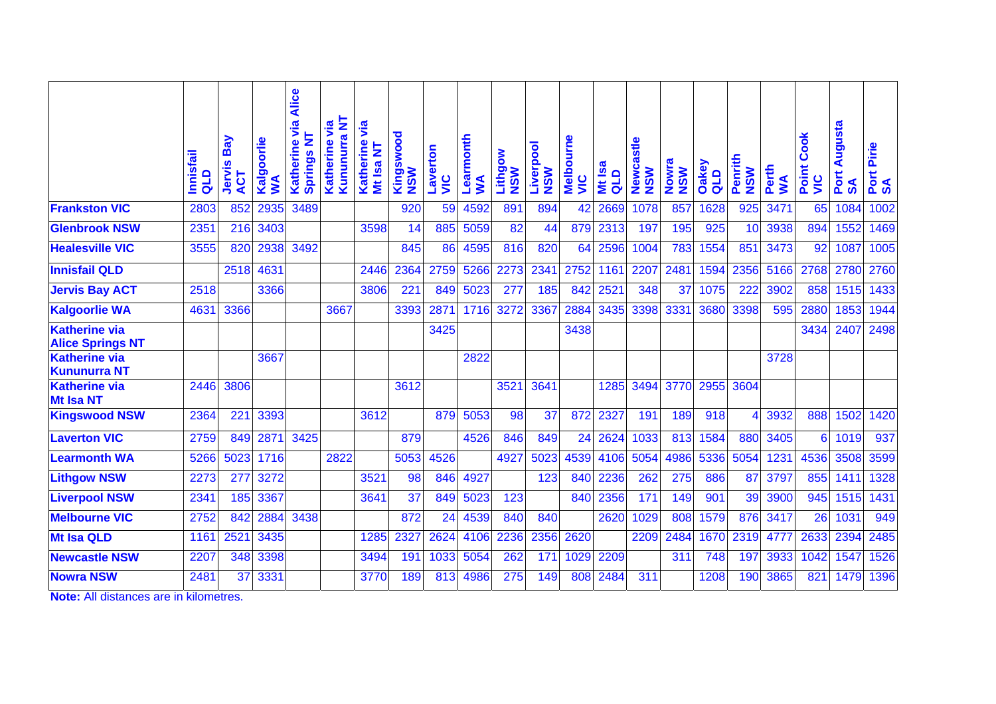|                                                 | <b>Innisfail</b><br>qup | Bay<br>Jervis<br>ACT | Kalgoorlie<br>ş | via Alice<br>₹<br>Katherine<br><b>Springs</b> | Kununurra NT<br>yia<br>Katherine | yia<br>Katherine<br>Mt Isa NT | Kingswood<br><b>NSW</b> | Laverton<br><u>ую</u> | Learmonth<br>$\mathbf{S}$ | Lithgow<br><b>NSW</b> | Liverpool<br><b>NSW</b> | <b>Melbourne</b><br><u>Sir</u> | <b>Isa</b><br>qup<br>š | Newcastle<br><b>NSW</b> | Nowra<br><b>NSW</b> | <b>Oakey</b><br>Q <sub>LD</sub> | Penrith<br><b>NSW</b> | Perth<br>S | <b>Cook</b><br>Point<br>$rac{c}{\sqrt{2}}$ | Augusta<br>Port<br><u>ୁ</u><br>ଉ | Pirie<br>Port<br>SA |
|-------------------------------------------------|-------------------------|----------------------|-----------------|-----------------------------------------------|----------------------------------|-------------------------------|-------------------------|-----------------------|---------------------------|-----------------------|-------------------------|--------------------------------|------------------------|-------------------------|---------------------|---------------------------------|-----------------------|------------|--------------------------------------------|----------------------------------|---------------------|
| <b>Frankston VIC</b>                            | 2803                    | 852                  | 2935            | 3489                                          |                                  |                               | 920                     | 59                    | 4592                      | 891                   | 894                     | 42                             | 2669                   | 1078                    | 857                 | 1628                            | 925                   | 3471       | 65                                         | 1084                             | 1002                |
| <b>Glenbrook NSW</b>                            | 2351                    | 216                  | 3403            |                                               |                                  | 3598                          | 14                      | 885                   | 5059                      | 82                    | 44                      | 879                            | 2313                   | 197                     | 195                 | $\overline{925}$                | 10                    | 3938       | 894                                        | 1552                             | 1469                |
| <b>Healesville VIC</b>                          | 3555                    | 820                  | 2938            | 3492                                          |                                  |                               | 845                     | 86                    | 4595                      | 816                   | 820                     | 64                             | 2596                   | 1004                    | 783                 | 1554                            | 851                   | 3473       | 92                                         | 1087                             | 1005                |
| <b>Innisfail QLD</b>                            |                         | 2518                 | 4631            |                                               |                                  | 2446                          | 2364                    | 2759                  | 5266                      | 2273                  | 2341                    | 2752                           | 1161                   | 2207                    | 2481                | 1594                            | 2356                  | 5166       | 2768                                       | 2780                             | 2760                |
| <b>Jervis Bay ACT</b>                           | 2518                    |                      | 3366            |                                               |                                  | 3806                          | 221                     | 849                   | 5023                      | 277                   | 185                     | 842                            | 2521                   | 348                     | 37                  | 1075                            | 222                   | 3902       | 858                                        | 1515                             | 1433                |
| <b>Kalgoorlie WA</b>                            | 4631                    | 3366                 |                 |                                               | 3667                             |                               | 3393                    | 2871                  | 1716                      | 3272                  | 3367                    | 2884                           | 3435                   | 3398                    | 3331                | 3680                            | 3398                  | 595        | 2880                                       | 1853                             | 1944                |
| <b>Katherine via</b><br><b>Alice Springs NT</b> |                         |                      |                 |                                               |                                  |                               |                         | 3425                  |                           |                       |                         | 3438                           |                        |                         |                     |                                 |                       |            | 3434                                       | 2407                             | 2498                |
| <b>Katherine via</b><br><b>Kununurra NT</b>     |                         |                      | 3667            |                                               |                                  |                               |                         |                       | 2822                      |                       |                         |                                |                        |                         |                     |                                 |                       | 3728       |                                            |                                  |                     |
| <b>Katherine via</b><br><b>Mt Isa NT</b>        | 2446                    | 3806                 |                 |                                               |                                  |                               | 3612                    |                       |                           | 3521                  | 3641                    |                                | 1285                   | 3494                    | 3770                | 2955                            | 3604                  |            |                                            |                                  |                     |
| <b>Kingswood NSW</b>                            | 2364                    | 221                  | 3393            |                                               |                                  | 3612                          |                         | 879                   | 5053                      | 98                    | $\overline{37}$         | 872                            | 2327                   | 191                     | 189                 | 918                             |                       | 3932       | 888                                        | 1502                             | 1420                |
| <b>Laverton VIC</b>                             | 2759                    | 849                  | 2871            | 3425                                          |                                  |                               | 879                     |                       | 4526                      | 846                   | 849                     | 24                             | 2624                   | 1033                    | 813                 | 1584                            | 880                   | 3405       | 6                                          | 1019                             | 937                 |
| <b>Learmonth WA</b>                             | 5266                    | 5023                 | 1716            |                                               | 2822                             |                               | 5053                    | 4526                  |                           | 4927                  | 5023                    | 4539                           | 4106                   | 5054                    | 4986                | 5336                            | 5054                  | 1231       | 4536                                       | 3508                             | 3599                |
| <b>Lithgow NSW</b>                              | 2273                    | 277                  | 3272            |                                               |                                  | 3521                          | 98                      | 846                   | 4927                      |                       | 123                     | 840                            | 2236                   | 262                     | 275                 | 886                             | 87                    | 3797       | 855                                        | 1411                             | 1328                |
| <b>Liverpool NSW</b>                            | 2341                    | 185                  | 3367            |                                               |                                  | 3641                          | $\overline{37}$         | 849                   | 5023                      | 123                   |                         | 840                            | 2356                   | 171                     | 149                 | 901                             | 39                    | 3900       | 945                                        | 1515                             | 1431                |
| <b>Melbourne VIC</b>                            | 2752                    | 842                  | 2884            | 3438                                          |                                  |                               | 872                     | $\overline{24}$       | 4539                      | 840                   | 840                     |                                | 2620                   | 1029                    | 808                 | 1579                            | 876                   | 3417       | 26                                         | 1031                             | 949                 |
| <b>Mt Isa QLD</b>                               | 1161                    | 2521                 | 3435            |                                               |                                  | 1285                          | 2327                    | 2624                  | 4106                      | 2236                  | 2356                    | 2620                           |                        | 2209                    | 2484                | 1670                            | 2319                  | 477        | 2633                                       | 2394                             | 2485                |
| <b>Newcastle NSW</b>                            | 2207                    | 348                  | 3398            |                                               |                                  | 3494                          | 191                     | 1033                  | 5054                      | 262                   | 171                     | 1029                           | 2209                   |                         | 311                 | 748                             | 197                   | 3933       | 1042                                       | 1547                             | 1526                |
| <b>Nowra NSW</b>                                | 2481                    | 37                   | 3331            |                                               |                                  | 3770                          | 189                     | 813                   | 4986                      | 275                   | 149                     | 808                            | 2484                   | 311                     |                     | 1208                            | 190                   | 3865       | 821                                        | 1479                             | 1396                |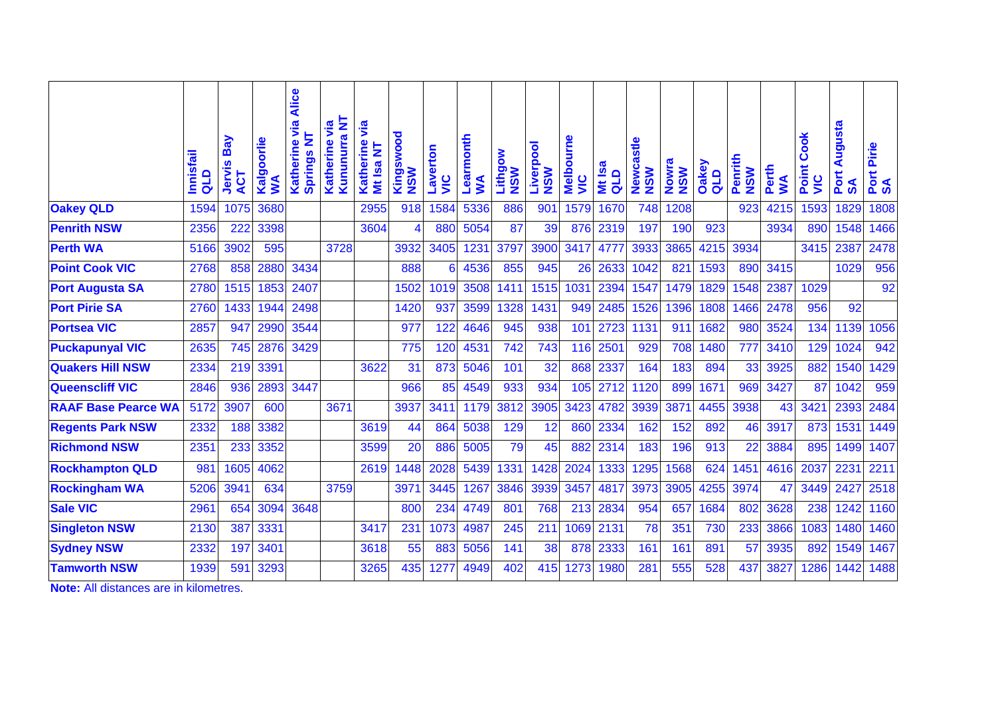|                                       | Innisfail<br>qup | Bay<br>Jervis<br>ACT | Kalgoorlie<br>$\sum$ | Katherine via Alice<br>₹<br><b>Springs</b> | Kununurra NT<br>yia<br>Katherine | via<br>Katherine<br>Mt Isa NT | Kingswood<br><b>NSW</b> | Laverton<br><u>SI</u> | Learmonth<br>$\mathbf{S}$ | Lithgow<br><b>NSW</b> | Liverpool<br><b>NSW</b> | <b>Melbourne</b><br><b>SIN</b> | <b>Isa</b><br>$\frac{d}{d}$<br>š | Newcastle<br><b>NSW</b> | Nowra<br><b>NSW</b> | Oakey<br>$\frac{d}{d}$ | Penrith<br><b>NSW</b> | Perth<br><b>SV</b> | Cook<br>Point<br><u>Sir</u> | Augusta<br>Port<br>$\mathbf{S}$ | Pirie<br>Port<br>SA |
|---------------------------------------|------------------|----------------------|----------------------|--------------------------------------------|----------------------------------|-------------------------------|-------------------------|-----------------------|---------------------------|-----------------------|-------------------------|--------------------------------|----------------------------------|-------------------------|---------------------|------------------------|-----------------------|--------------------|-----------------------------|---------------------------------|---------------------|
| <b>Oakey QLD</b>                      | 1594             | 1075                 | 3680                 |                                            |                                  | 2955                          | 918                     | 1584                  | 5336                      | 886                   | 901                     | 1579                           | 1670                             | 748                     | 1208                |                        | 923                   | 4215               | 1593                        | 1829                            | 1808                |
| <b>Penrith NSW</b>                    | 2356             | 222                  | 3398                 |                                            |                                  | 3604                          | $\overline{\mathbf{4}}$ | 880                   | 5054                      | 87                    | 39                      | 876                            | 2319                             | 197                     | 190                 | 923                    |                       | 3934               | 890                         | 1548                            | 1466                |
| <b>Perth WA</b>                       | 5166             | 3902                 | 595                  |                                            | 3728                             |                               | 3932                    | 3405                  | 1231                      | 3797                  | 3900                    | 3417                           | 4777                             | 3933                    | 3865                | 4215                   | 3934                  |                    | 3415                        | 2387                            | 2478                |
| <b>Point Cook VIC</b>                 | 2768             | 858                  | 2880                 | 3434                                       |                                  |                               | 888                     | 6                     | 4536                      | 855                   | 945                     | 26                             | 2633                             | 1042                    | 821                 | 1593                   | 890                   | 3415               |                             | 1029                            | 956                 |
| <b>Port Augusta SA</b>                | 2780             | 1515                 | 1853                 | 2407                                       |                                  |                               | 1502                    | 1019                  | 3508                      | 1411                  | 1515                    | 1031                           | 2394                             | 1547                    | 1479                | 1829                   | 1548                  | 2387               | 1029                        |                                 | 92                  |
| <b>Port Pirie SA</b>                  | 2760             | 1433                 | 1944                 | 2498                                       |                                  |                               | 1420                    | 937                   | 3599                      | 1328                  | 1431                    | 949                            | 2485                             | 1526                    | 1396                | 1808                   | 1466                  | 2478               | 956                         | 92                              |                     |
| <b>Portsea VIC</b>                    | 2857             | 947                  | 2990                 | 3544                                       |                                  |                               | 977                     | 122                   | 4646                      | 945                   | 938                     | 101                            | 2723                             | 1131                    | 911                 | 1682                   | 980                   | 3524               | 134                         | 1139                            | 1056                |
| <b>Puckapunyal VIC</b>                | 2635             | 745                  | 2876                 | 3429                                       |                                  |                               | 775                     | 120                   | 4531                      | 742                   | 743                     | 116                            | 2501                             | 929                     | 708                 | 1480                   | 777                   | 3410               | 129                         | 1024                            | 942                 |
| <b>Quakers Hill NSW</b>               | 2334             | 219                  | 3391                 |                                            |                                  | 3622                          | 31                      | 873                   | 5046                      | 101                   | 32                      | 868                            | 2337                             | 164                     | 183                 | 894                    | 33                    | 3925               | 882                         | 1540                            | 1429                |
| <b>Queenscliff VIC</b>                | 2846             | 936                  | 2893                 | 3447                                       |                                  |                               | 966                     | 85                    | 4549                      | 933                   | 934                     | 105                            | 2712                             | 1120                    | 899                 | 1671                   | 969                   | 3427               | 87                          | 1042                            | 959                 |
| <b>RAAF Base Pearce WA</b>            | 5172             | 3907                 | 600                  |                                            | 3671                             |                               | 3937                    | 3411                  | 1179                      | 3812                  | 3905                    | 3423                           | 4782                             | 3939                    | 387                 | 4455                   | 3938                  | 43                 | 342'                        | 2393                            | 2484                |
| <b>Regents Park NSW</b>               | 2332             | 188                  | 3382                 |                                            |                                  | 3619                          | 44                      | 864                   | 5038                      | 129                   | 12                      | 860                            | 2334                             | 162                     | 152                 | 892                    | 46                    | 3917               | 873                         | 1531                            | 1449                |
| <b>Richmond NSW</b>                   | 2351             | 233                  | 3352                 |                                            |                                  | 3599                          | 20                      | 886                   | 5005                      | 79                    | 45                      | 882                            | 2314                             | 183                     | 196                 | 913                    | 22                    | 3884               | 895                         | 1499                            | 1407                |
| <b>Rockhampton QLD</b>                | 981              | 1605                 | 4062                 |                                            |                                  | 2619                          | 1448                    | 2028                  | 5439                      | 1331                  | 1428                    | 2024                           | 1333                             | 1295                    | 1568                | 624                    | 145                   | 4616               | 2037                        | 2231                            | 2211                |
| <b>Rockingham WA</b>                  | 5206             | 3941                 | 634                  |                                            | 3759                             |                               | 3971                    | 3445                  | 1267                      | 3846                  | 3939                    | 3457                           | 4817                             | 3973                    | 3905                | 4255                   | 3974                  | 47                 | 3449                        | 2427                            | 2518                |
| <b>Sale VIC</b>                       | 2961             | 654                  | 3094                 | 3648                                       |                                  |                               | 800                     | 234                   | 4749                      | 801                   | 768                     | 213                            | 2834                             | 954                     | 657                 | 1684                   | 802                   | 3628               | 238                         | 1242                            | 1160                |
| <b>Singleton NSW</b>                  | 2130             | 387                  | 3331                 |                                            |                                  | 3417                          | 231                     | 1073                  | 4987                      | 245                   | 211                     | 1069                           | 2131                             | 78                      | 351                 | 730                    | 233                   | 3866               | 1083                        | 1480                            | 1460                |
| <b>Sydney NSW</b>                     | 2332             | 197                  | 3401                 |                                            |                                  | 3618                          | 55                      | 883                   | 5056                      | 141                   | 38                      | 878                            | 2333                             | 161                     | 161                 | 891                    | 57                    | 3935               | 892                         | 1549                            | 1467                |
| <b>Tamworth NSW</b>                   | 1939             | 591                  | 3293                 |                                            |                                  | 3265                          | 435                     | 1277                  | 4949                      | 402                   | 415                     | 1273                           | 1980                             | 281                     | 555                 | 528                    | 437                   | 3827               | 1286                        | 1442                            | 1488                |
| Nata: All distances are in kilometros |                  |                      |                      |                                            |                                  |                               |                         |                       |                           |                       |                         |                                |                                  |                         |                     |                        |                       |                    |                             |                                 |                     |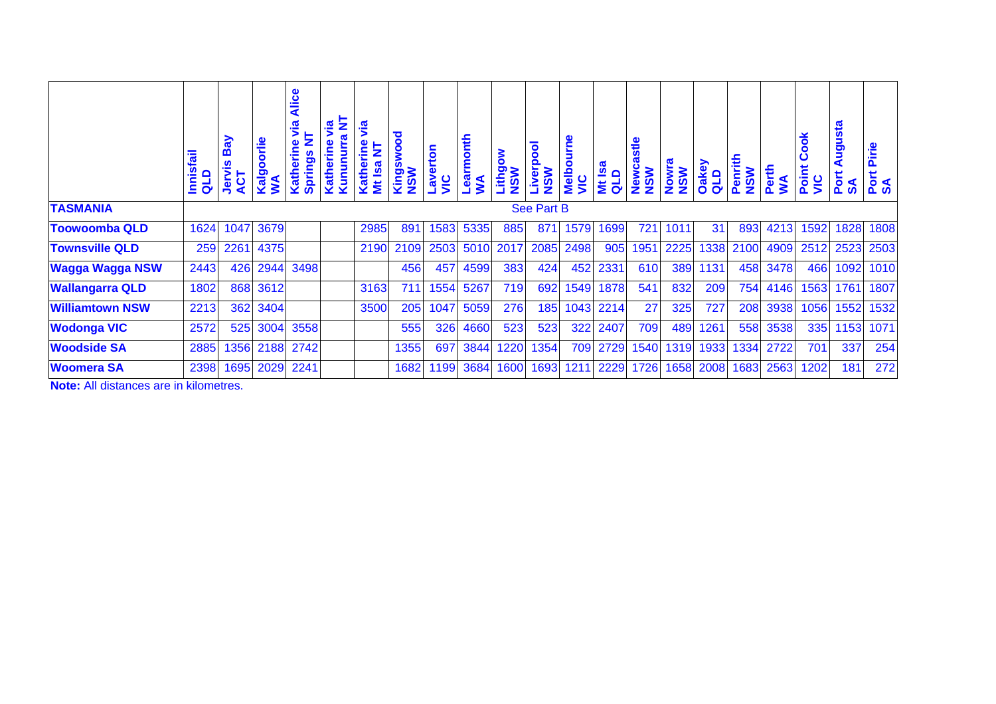|                        | <b>Innisfail</b><br>qup | Bay<br>Jervis<br>ACT | orlie<br>Ō<br>Kalgr<br>ş | <b>Alice</b><br>via<br>Ż.<br>Springs<br>Katheri | Ξ<br>Kununurr<br>Kather | <u>g</u><br>Katherine<br>₹<br><b>Mt Isa</b> | Kingswood<br>NSW | averton<br>Si | Learmonth<br>$\mathbf{\Sigma}$ | Lithgow<br>NSW | $\overline{8}$<br>௨<br><b>NSW</b> | <b>Melbourne</b><br>$\frac{\mathbf{c}}{\mathbf{c}}$ | <u>isa</u><br>$\mathsf{P}$<br>ž<br>ಠ | Newcastle<br><b>NSW</b> | Nowra<br><b>NSW</b> | Oakey<br>QLD | Penrith<br><b>NSW</b> | Perth<br>$\mathbf{\Sigma}$ | $\frac{1}{\sigma}$<br>٥<br>Point<br>VIC | <b>ugusta</b><br>Port<br>SA | Pirie<br>Port<br>SA |
|------------------------|-------------------------|----------------------|--------------------------|-------------------------------------------------|-------------------------|---------------------------------------------|------------------|---------------|--------------------------------|----------------|-----------------------------------|-----------------------------------------------------|--------------------------------------|-------------------------|---------------------|--------------|-----------------------|----------------------------|-----------------------------------------|-----------------------------|---------------------|
| <b>TASMANIA</b>        |                         |                      |                          |                                                 |                         |                                             |                  |               |                                |                | <b>See Part B</b>                 |                                                     |                                      |                         |                     |              |                       |                            |                                         |                             |                     |
| <b>Toowoomba QLD</b>   | 1624                    | 1047                 | 3679                     |                                                 |                         | 2985                                        | 891              | 1583          | 5335                           | 885            | 871                               | 1579                                                | 1699                                 | 721                     | 1011                | 31           | 893                   | 4213                       | 1592                                    | 1828                        | 1808                |
| <b>Townsville QLD</b>  | 259                     | 2261                 | 4375                     |                                                 |                         | 2190                                        | 2109             | 2503          | 5010                           | 2017           | 2085                              | 2498                                                | 905                                  | 1951                    | 2225                | 1338         | 2100                  | 4909                       | 2512                                    | 2523                        | 2503                |
| <b>Wagga Wagga NSW</b> | 2443                    | 426                  | 2944                     | 3498                                            |                         |                                             | 456              | 457           | 4599                           | 383            | 424                               | 452                                                 | 2331                                 | 610                     | 389                 | 1131         | 458                   | 3478                       | 466                                     | 1092                        | 1010                |
| <b>Wallangarra QLD</b> | 1802                    | 868                  | 3612                     |                                                 |                         | 3163                                        | 711              | 1554          | 5267                           | 719            | 692                               | 1549                                                | 1878                                 | 541                     | 832                 | 209          | 754                   | 4146                       | 1563                                    | 1761                        | 1807                |
| <b>Williamtown NSW</b> | 2213                    | 362                  | 3404                     |                                                 |                         | 3500                                        | 205              | 1047          | 5059                           | 276            | 185                               | 1043                                                | 2214                                 | 27                      | 325                 | 727          | 208                   | 3938                       | 1056                                    | 1552                        | 1532                |
| <b>Wodonga VIC</b>     | 2572                    | 525                  | 3004                     | 3558                                            |                         |                                             | 555              | 326           | 4660                           | 523            | 523                               | 322                                                 | 2407                                 | 709                     | 489                 | 1261         | 558                   | 3538                       | 335                                     | 1153                        | 1071                |
| <b>Woodside SA</b>     | 2885                    | 1356                 |                          | 2188 2742                                       |                         |                                             | 1355             | 697           | 3844                           | 1220           | 1354                              | 709                                                 | 2729                                 | 1540                    | 1319                | 1933         | 1334                  | 2722                       | 701                                     | 337                         | 254                 |
| <b>Woomera SA</b>      | 2398                    | 1695                 | 2029                     | 2241                                            |                         |                                             | 1682             | 1199          | 3684                           | 1600           | 1693                              | 1211                                                | 2229                                 | 1726                    | 1658                | 2008         | 1683                  | 2563                       | 1202                                    | 181                         | 272                 |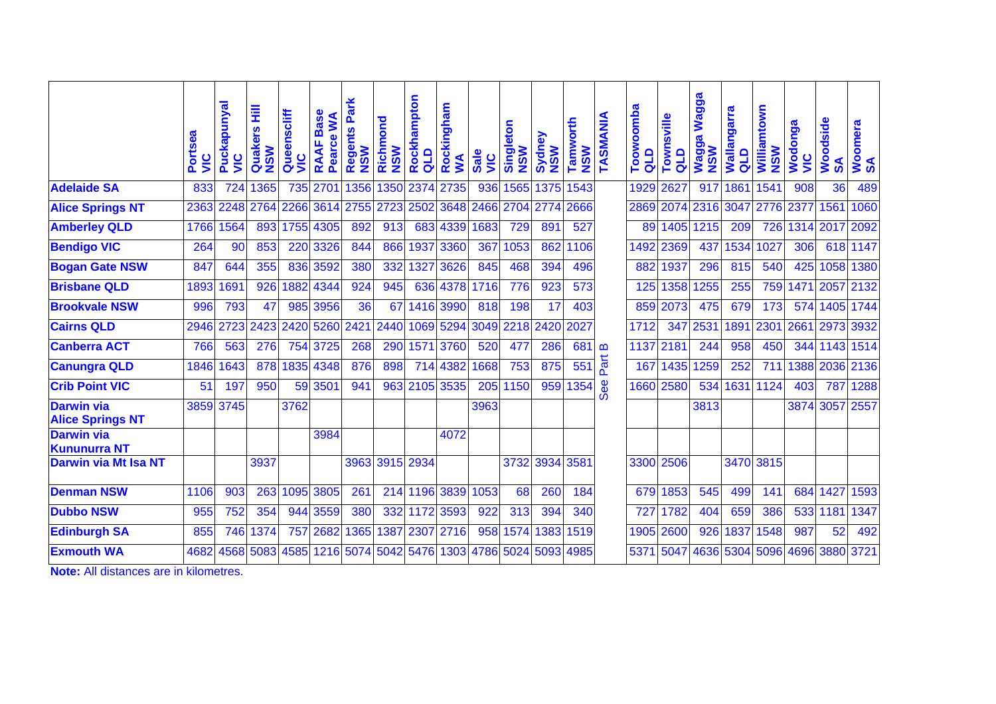|                                              | Portsea<br>$\frac{\mathbf{c}}{\mathbf{c}}$ | Puckapunyal<br><u>ט</u><br>3 | Ē<br>Quakers<br>$\frac{2}{5}$ | Queenscliff<br>$\frac{c}{2}$ | <b>Base</b><br>≶<br>Pearce<br><b>RAAF</b> | Park<br>egents<br><b>NSM</b><br>œ | Richmond<br><b>NSW</b> | Rockhampton<br>qup | Rockingham<br>WA | <b>Sale</b><br>$rac{c}{\sqrt{2}}$ | Singleton<br><b>NSW</b> | శ<br>Sydne<br>$\frac{1}{2}$<br>z | orth<br>Tamw<br><b>NSM</b> | TASMANIA     | Toowoomba<br>qTd | Townsville<br>qup | Wagga<br>Wagga<br><b>NSW</b> | Wallangarra<br>qLD | Williamtown<br><b>NSW</b> | Wodonga<br>$rac{c}{\sqrt{2}}$ | Woodside<br>$\boldsymbol{\mathsf{s}}$ | Woomera<br>SA |
|----------------------------------------------|--------------------------------------------|------------------------------|-------------------------------|------------------------------|-------------------------------------------|-----------------------------------|------------------------|--------------------|------------------|-----------------------------------|-------------------------|----------------------------------|----------------------------|--------------|------------------|-------------------|------------------------------|--------------------|---------------------------|-------------------------------|---------------------------------------|---------------|
| <b>Adelaide SA</b>                           | 833                                        | 724                          | 1365                          | 735                          | 2701                                      | 1356                              | 1350                   | 2374               | 2735             | 936                               | 1565                    | 1375                             | 1543                       |              | 1929             | 2627              | 917                          | 1861               | 1541                      | 908                           | 36                                    | 489           |
| <b>Alice Springs NT</b>                      | 2363                                       | 2248                         | 2764                          | 2266                         | 3614                                      | 2755                              | 2723                   | 2502               | 3648             | 2466                              |                         | 2704 2774                        | 2666                       |              | 2869             | 2074              | 2316                         | 3047               | 2776                      | 2377                          | 1561                                  | 1060          |
| <b>Amberley QLD</b>                          | 1766                                       | 1564                         | 893                           | 1755                         | 4305                                      | 892                               | 913                    |                    | 683 4339         | 1683                              | 729                     | 891                              | 527                        |              | 89               | 1405              | 1215                         | 209                | 726                       | 1314                          | 2017                                  | 2092          |
| <b>Bendigo VIC</b>                           | 264                                        | 90                           | 853                           | 220                          | 3326                                      | 844                               | 866                    |                    | 1937 3360        | 367                               | 1053                    | 862                              | 1106                       |              | 1492             | 2369              | 437                          | 1534               | 1027                      | 306                           | 618                                   | 1147          |
| <b>Bogan Gate NSW</b>                        | 847                                        | 644                          | 355                           | 836                          | 3592                                      | 380                               | 332                    | 1327               | 3626             | 845                               | 468                     | 394                              | 496                        |              | 882              | 1937              | 296                          | 815                | 540                       | 425                           | 1058                                  | 1380          |
| <b>Brisbane QLD</b>                          | 1893                                       | 1691                         | 926                           | 1882                         | 4344                                      | 924                               | 945                    |                    | 636 4378         | 1716                              | 776                     | 923                              | 573                        |              | 125              | 1358              | 1255                         | 255                | 759                       |                               | 1471 2057                             | 2132          |
| <b>Brookvale NSW</b>                         | 996                                        | 793                          | 47                            | 985                          | 3956                                      | 36                                | 67                     |                    | 1416 3990        | 818                               | 198                     | 17                               | 403                        |              | 859              | 2073              | 475                          | 679                | 173                       | 574                           | 1405                                  | 1744          |
| <b>Cairns QLD</b>                            | 2946                                       | 2723                         | 2423                          |                              | 2420 5260                                 | 2421                              | 2440                   |                    | 1069 5294        | 3049                              |                         | 2218 2420                        | 2027                       |              | 1712             | 347               | 2531                         | 1891               | 2301                      | 2661                          |                                       | 2973 3932     |
| <b>Canberra ACT</b>                          | 766                                        | 563                          | 276                           | 754                          | 3725                                      | 268                               | 290                    |                    | 1571 3760        | 520                               | 477                     | 286                              | 681                        | $\mathbf{m}$ | 1137             | 2181              | 244                          | 958                | 450                       | 344                           | 1143                                  | 1514          |
| <b>Canungra QLD</b>                          | 1846                                       | 1643                         | 878                           | 1835                         | 4348                                      | 876                               | 898                    |                    | 714 4382         | 1668                              | 753                     | 875                              | 551                        | Part         | 167              | 1435              | 1259                         | 252                | 711                       | 1388                          |                                       | 2036 2136     |
| <b>Crib Point VIC</b>                        | 51                                         | 197                          | 950                           |                              | 59 3501                                   | 941                               | 963                    |                    | 2105 3535        | 205                               | 1150                    | 959                              | 1354                       | <b>See</b>   | 1660             | 2580              | 534                          | 1631               | 1124                      | 403                           | 787                                   | 1288          |
| <b>Darwin via</b><br><b>Alice Springs NT</b> |                                            | 3859 3745                    |                               | 3762                         |                                           |                                   |                        |                    |                  | 3963                              |                         |                                  |                            |              |                  |                   | 3813                         |                    |                           | 3874 3057                     |                                       | 2557          |
| <b>Darwin via</b><br><b>Kununurra NT</b>     |                                            |                              |                               |                              | 3984                                      |                                   |                        |                    | 4072             |                                   |                         |                                  |                            |              |                  |                   |                              |                    |                           |                               |                                       |               |
| <b>Darwin via Mt Isa NT</b>                  |                                            |                              | 3937                          |                              |                                           | 3963                              |                        | 3915 2934          |                  |                                   |                         | 3732 3934                        | 3581                       |              |                  | 3300 2506         |                              |                    | 3470 3815                 |                               |                                       |               |
| <b>Denman NSW</b>                            | 1106                                       | 903                          | 263                           | 1095                         | 3805                                      | 261                               | 214                    |                    | 1196 3839        | 1053                              | 68                      | 260                              | 184                        |              | 679              | 1853              | 545                          | 499                | 141                       | 684                           | 1427                                  | 1593          |
| <b>Dubbo NSW</b>                             | 955                                        | 752                          | 354                           | 944                          | 3559                                      | 380                               | 332                    | 1172               | 3593             | 922                               | 313                     | 394                              | 340                        |              | 72               | 1782              | 404                          | 659                | 386                       | 533                           | 1181                                  | 1347          |
| <b>Edinburgh SA</b>                          | 855                                        | 746                          | 1374                          | 757                          | 2682                                      | 1365                              | 1387                   |                    | 2307 2716        | 958                               | 1574                    | 1383                             | 1519                       |              | 1905             | 2600              | 926                          | 1837               | 1548                      | 987                           | 52                                    | 492           |
| <b>Exmouth WA</b>                            | 4682                                       | 4568                         | 5083                          | 4585                         | 1216                                      |                                   | 5074 5042              |                    | 5476 1303 4786   |                                   | 5024                    | 5093                             | 4985                       |              | 537              | 5047              | 4636                         | 5304               | 5096                      | 4696                          | <b>3880</b>                           | 3721          |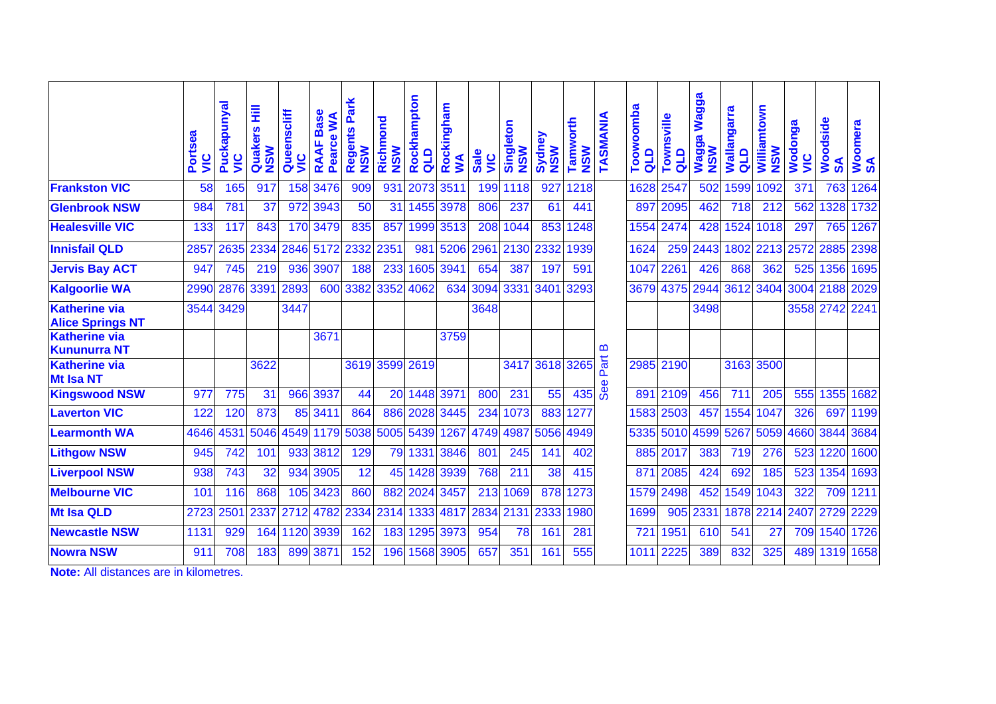|                                                 | Portsea<br>SI | Puckapunyal<br><u>Sin</u> | Ē<br>Quakers<br>$\mathbf{\Sigma}\mathbf{S}$ | Queenscliff<br><b>SIN</b> | <b>Base</b><br>S<br>Pearce<br>RAAF | <b>Regents Park</b><br>MSM | Richmond<br><b>NSW</b> | Rockhampton<br>qup | Rockingham<br>$\mathbf{M}$ | <b>Sale</b><br>SIN | Singleton<br><b>NSW</b> | Sydney<br>$\mathbf{S}$<br>z | Tamworth<br><b>NSW</b> | TASMANIA | Toowoomba<br>ala | Townsville<br>$\frac{d}{d}$ | Wagga<br>Wagga<br>NSW | <b>Wallangarra</b><br>qup | Williamtown<br><b>NSW</b> | Wodonga<br>$rac{c}{\sqrt{2}}$ | Woodside<br>న్ | Woomera<br>SA |
|-------------------------------------------------|---------------|---------------------------|---------------------------------------------|---------------------------|------------------------------------|----------------------------|------------------------|--------------------|----------------------------|--------------------|-------------------------|-----------------------------|------------------------|----------|------------------|-----------------------------|-----------------------|---------------------------|---------------------------|-------------------------------|----------------|---------------|
| <b>Frankston VIC</b>                            | 58            | 165                       | 917                                         | 158                       | 3476                               | 909                        | 931                    | 2073               | 3511                       | 199                | 1118                    | 927                         | 1218                   |          | 1628             | 2547                        | 502                   | 1599                      | 1092                      | 371                           | 763            | 1264          |
| <b>Glenbrook NSW</b>                            | 984           | 781                       | 37                                          | 972                       | 3943                               | 50                         | 31                     | 1455               | 3978                       | 806                | 237                     | 61                          | 441                    |          | 897              | 2095                        | 462                   | 718                       | 212                       | 562                           | 1328           | 1732          |
| <b>Healesville VIC</b>                          | 133           | 117                       | 843                                         | 170                       | 3479                               | 835                        | 857                    | 1999               | 3513                       | 208                | 1044                    | 853                         | 1248                   |          | 1554             | 2474                        | 428                   | 1524                      | 1018                      | 297                           | 765            | 1267          |
| <b>Innisfail QLD</b>                            | 2857          | 2635                      | 2334                                        | 2846                      | 5172                               | 2332                       | 2351                   | 981                | 5206                       | 2961               | 2130                    | 2332                        | 1939                   |          | 1624             | 259                         | 2443                  | 1802                      | $\overline{2213}$         | 2572                          | 2885           | 2398          |
| <b>Jervis Bay ACT</b>                           | 947           | 745                       | 219                                         | 936                       | 3907                               | 188                        | 233                    | 1605               | 3941                       | 654                | 387                     | 197                         | 591                    |          | 1047             | 2261                        | 426                   | 868                       | 362                       | 525                           | 1356           | 1695          |
| <b>Kalgoorlie WA</b>                            | 2990          | 2876                      | 3391                                        | 2893                      | 600                                | 3382                       | 3352                   | 4062               | 634                        | 3094               | 3331                    | 3401                        | 3293                   |          |                  | 3679 4375                   | 2944                  | 3612                      | 3404                      |                               | 3004 2188 2029 |               |
| <b>Katherine via</b><br><b>Alice Springs NT</b> | 3544          | 3429                      |                                             | 3447                      |                                    |                            |                        |                    |                            | 3648               |                         |                             |                        |          |                  |                             | 3498                  |                           |                           |                               | 3558 2742      | 2241          |
| <b>Katherine via</b><br><b>Kununurra NT</b>     |               |                           |                                             |                           | 3671                               |                            |                        |                    | 3759                       |                    |                         |                             |                        | മ        |                  |                             |                       |                           |                           |                               |                |               |
| <b>Katherine via</b><br><b>Mt Isa NT</b>        |               |                           | 3622                                        |                           |                                    | 3619                       |                        | 3599 2619          |                            |                    | 3417                    | 3618                        | 3265                   | Part     |                  | 2985 2190                   |                       | 3163                      | 3500                      |                               |                |               |
| <b>Kingswood NSW</b>                            | 977           | 775                       | 31                                          |                           | 966 3937                           | 44                         | 20                     | 1448               | 3971                       | 800                | 231                     | 55                          | 435                    | See      | 891              | 2109                        | 456                   | 711                       | 205                       | 555                           | 1355           | 1682          |
| <b>Laverton VIC</b>                             | 122           | 120                       | 873                                         | 85                        | 3411                               | 864                        | 886                    | 2028               | 3445                       | 234                | 1073                    | 883                         | 1277                   |          | 1583             | 2503                        | 457                   | 1554                      | 1047                      | 326                           | 697            | 1199          |
| <b>Learmonth WA</b>                             | 4646          | 4531                      | 5046                                        | 4549                      | 1179                               | 5038                       | 5005                   | 5439               | 1267                       | 4749               | 4987                    | 5056                        | 4949                   |          | 5335             | 5010                        | 4599                  | 5267                      | 5059                      | 4660                          |                | 3844 3684     |
| <b>Lithgow NSW</b>                              | 945           | 742                       | 101                                         |                           | 933 3812                           | 129                        | 79                     | 1331               | 3846                       | 801                | 245                     | 141                         | 402                    |          | 885              | 2017                        | 383                   | 719                       | 276                       | 523                           | 1220           | 1600          |
| <b>Liverpool NSW</b>                            | 938           | 743                       | 32                                          | 934                       | 3905                               | 12                         | 45                     | 1428               | 3939                       | 768                | 211                     | 38                          | 415                    |          | 871              | 2085                        | 424                   | 692                       | 185                       | 523                           | 1354           | 1693          |
| <b>Melbourne VIC</b>                            | 101           | 116                       | 868                                         | 105                       | 3423                               | 860                        | 882                    | 2024               | 3457                       |                    | 213 1069                | 878                         | 1273                   |          | 1579             | 2498                        | 452                   | 1549                      | 1043                      | 322                           | 709            | 1211          |
| <b>Mt Isa QLD</b>                               | 2723          | 2501                      | 2337                                        | 2712                      | 4782                               | 2334                       | 2314                   | 1333               | 4817                       | 2834               | 2131                    | 2333                        | 1980                   |          | 1699             | 905                         | 2331                  | 1878                      | 2214                      | 2407                          | 2729           | 2229          |
| <b>Newcastle NSW</b>                            | 1131          | 929                       | 164                                         | 1120                      | 3939                               | 162                        | 183                    | 1295               | 3973                       | 954                | 78                      | 161                         | 281                    |          | 721              | 1951                        | 610                   | 541                       | 27                        | 709                           | 1540           | 1726          |
| <b>Nowra NSW</b>                                | 911           | 708                       | 183                                         | 899                       | 387'                               | 152                        | 196                    | 1568               | 3905                       | 657                | 351                     | 161                         | 555                    |          | 1011             | 2225                        | 389                   | 832                       | 325                       | 489                           | 1319           | 1658          |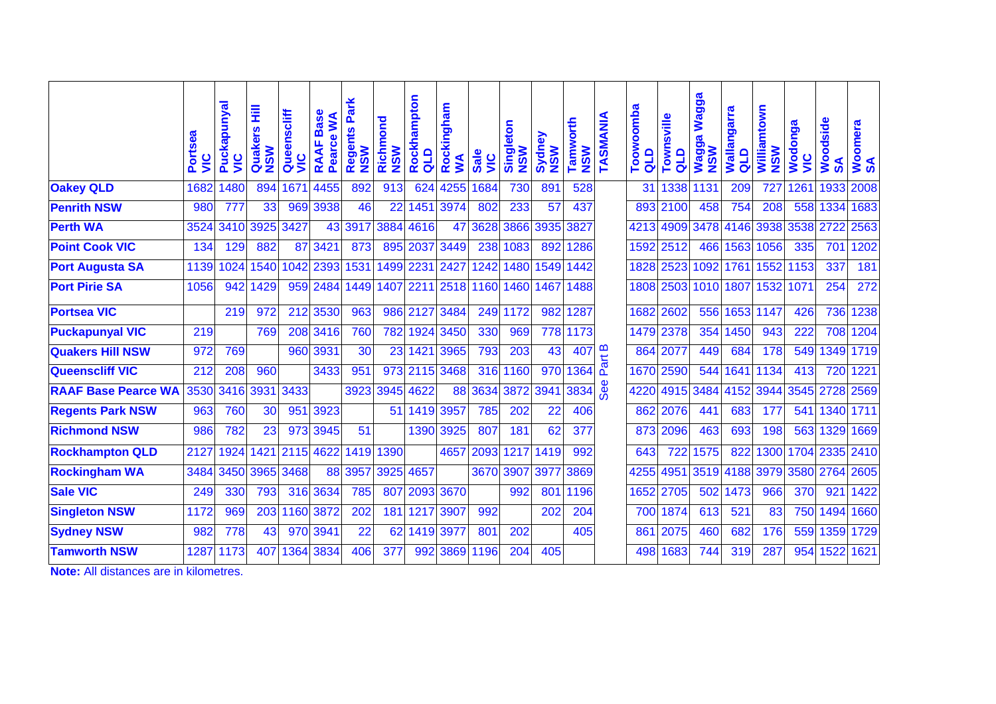|                            | Portsea<br>SI | Puckapunyal<br><u>ט</u> | Ē<br>Quakers<br><b>NSW</b> | Queenscliff<br>SIN | <b>Base</b><br>Pearce WA<br><b>RAAF</b> | Park<br>Regents<br><b>NSW</b> | Richmond<br><b>NSW</b> | Rockhampton<br>qup | Rockingham<br>$\mathbf{X}$ | <b>Sale</b><br><b>SIN</b> | Singleton<br><b>NSW</b> | Sydney<br><b>NSM</b> | Tamworth<br><b>NSW</b> | TASMANIA   | Toowoomba<br>qua | Townsville<br>$\frac{d}{d}$ | <b>Wagga</b><br>Wagga <sup>1</sup><br>NSW | <b>Wallangarra</b><br>qLD | Williamtown<br><b>NSW</b> | Wodonga<br><u>يا</u> | Woodside<br>న్ | Woomera<br>SA |
|----------------------------|---------------|-------------------------|----------------------------|--------------------|-----------------------------------------|-------------------------------|------------------------|--------------------|----------------------------|---------------------------|-------------------------|----------------------|------------------------|------------|------------------|-----------------------------|-------------------------------------------|---------------------------|---------------------------|----------------------|----------------|---------------|
| <b>Oakey QLD</b>           | 1682          | 1480                    | 894                        | 1671               | 4455                                    | 892                           | 913                    | 624                | 4255                       | 1684                      | 730                     | 891                  | 528                    |            | 31               | 1338                        | 1131                                      | 209                       | 727                       | 1261                 | 1933           | 2008          |
| <b>Penrith NSW</b>         | 980           | 777                     | 33                         | 969                | 3938                                    | 46                            | 22                     | 1451               | 3974                       | 802                       | 233                     | 57                   | 437                    |            |                  | 893 2100                    | 458                                       | 754                       | 208                       | 558                  | 1334           | 1683          |
| <b>Perth WA</b>            | 3524          | 3410                    | 3925                       | 3427               | 43                                      | 3917                          | 3884                   | 4616               | 47                         | 3628                      | 3866                    | 3935                 | 3827                   |            | 4213 4909        |                             | 3478                                      | 4146                      | 3938                      | 3538                 | 2722           | 2563          |
| <b>Point Cook VIC</b>      | 134           | 129                     | 882                        | 87                 | 3421                                    | 873                           | 895                    | 2037               | 3449                       | 238                       | 1083                    | 892                  | 1286                   |            |                  | 1592 2512                   | 466                                       | 1563                      | 1056                      | 335                  | 701            | 1202          |
| <b>Port Augusta SA</b>     | 1139          | 1024                    | 1540                       | 1042               | 2393                                    | 1531                          | 1499                   | 2231               | 2427                       | 1242                      | 1480                    | 1549                 | 1442                   |            |                  | 1828 2523                   | 1092                                      | 1761                      | 1552                      | 1153                 | 337            | 181           |
| <b>Port Pirie SA</b>       | 1056          | 942                     | 1429                       |                    | 959 2484                                | 1449                          | 1407                   | 2211               | 2518                       | 1160                      | 1460                    | 1467                 | 1488                   |            |                  |                             | 1808 2503 1010 1807                       |                           | 1532                      | 1071                 | 254            | 272           |
| <b>Portsea VIC</b>         |               | 219                     | 972                        |                    | 212 3530                                | 963                           | 986                    | 2127               | 3484                       | 249                       | 1172                    | 982                  | 1287                   |            |                  | 1682 2602                   | 556                                       | 1653                      | 1147                      | 426                  | 736            | 1238          |
| <b>Puckapunyal VIC</b>     | 219           |                         | 769                        |                    | 208 3416                                | 760                           | 782                    | 1924               | 3450                       | 330                       | 969                     | 778                  | 1173                   |            |                  | 1479 2378                   | 354                                       | 1450                      | 943                       | 222                  | 708            | 1204          |
| <b>Quakers Hill NSW</b>    | 972           | 769                     |                            |                    | 960 3931                                | 30                            | 23                     | 1421               | 3965                       | 793                       | 203                     | 43                   | 407                    | Part B     |                  | 864 2077                    | 449                                       | 684                       | 178                       | 549                  |                | 1349 1719     |
| <b>Queenscliff VIC</b>     | 212           | 208                     | 960                        |                    | 3433                                    | 951                           | 973                    | 2115               | 3468                       | 316                       | 1160                    | 970                  | 1364                   |            |                  | 1670 2590                   | 544                                       | 1641                      | 1134                      | 413                  | 720            | 1221          |
| <b>RAAF Base Pearce WA</b> | 3530          | 3416                    | 3931                       | 3433               |                                         | 3923                          | 3945                   | 4622               |                            | 88 3634                   | 3872                    | 3941                 | 3834                   | <b>See</b> |                  | 4220 4915                   | 3484                                      | 4152                      | 3944                      | 3545                 | 2728 2569      |               |
| <b>Regents Park NSW</b>    | 963           | 760                     | 30                         | 951                | 3923                                    |                               | 51                     | 1419               | 3957                       | 785                       | 202                     | 22                   | 406                    |            |                  | 862 2076                    | 441                                       | 683                       | 177                       | 541                  | 1340           | 1711          |
| <b>Richmond NSW</b>        | 986           | 782                     | 23                         |                    | 973 3945                                | 51                            |                        | 1390               | 3925                       | 807                       | 181                     | 62                   | 377                    |            |                  | 873 2096                    | 463                                       | 693                       | 198                       | 563                  | 1329           | 1669          |
| <b>Rockhampton QLD</b>     | 2127          | 1924                    | 1421                       | 2115 4622          |                                         | 1419                          | 1390                   |                    | 4657                       | 2093                      | 1217                    | 1419                 | 992                    |            | 643              | 722                         | 1575                                      | 822                       | 1300                      |                      | 1704 2335 2410 |               |
| <b>Rockingham WA</b>       | 3484          | 3450                    | 3965                       | 3468               | 88                                      | 3957                          | 3925                   | 4657               |                            | 3670                      | 3907                    | 3977                 | 3869                   |            | 4255 4951        |                             | 3519                                      | 4188                      | 3979                      | 3580                 | 2764           | 2605          |
| <b>Sale VIC</b>            | 249           | 330                     | 793                        |                    | 316 3634                                | 785                           | 807                    | 2093               | 3670                       |                           | 992                     | 801                  | 1196                   |            |                  | 1652 2705                   | 502                                       | 1473                      | 966                       | 370                  | 921            | 1422          |
| <b>Singleton NSW</b>       | 1172          | 969                     | 203                        | 1160               | 3872                                    | 202                           | 181                    | 1217               | 3907                       | 992                       |                         | 202                  | 204                    |            |                  | 700 1874                    | 613                                       | 521                       | 83                        | 750                  | 1494           | 1660          |
| <b>Sydney NSW</b>          | 982           | 778                     | 43                         |                    | 970 3941                                | 22                            | 62                     | 1419               | 3977                       | 801                       | 202                     |                      | 405                    |            | 861              | 2075                        | 460                                       | 682                       | 176                       | 559                  | 1359           | 1729          |
| <b>Tamworth NSW</b>        | 1287          | 1173                    | 407                        | 1364               | 3834                                    | 406                           | 377                    | 992                | 3869                       | 1196                      | 204                     | 405                  |                        |            |                  | 498 1683                    | 744                                       | 319                       | 287                       | 954                  | 1522           | 1621          |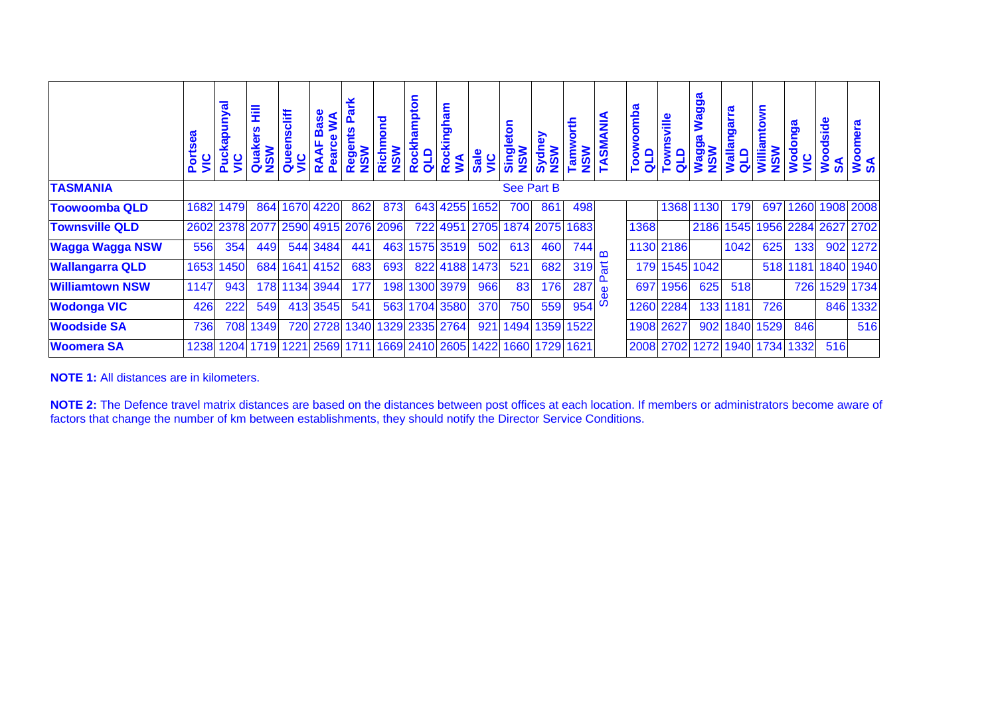|                        | Ports<br>VIC | kapunyal<br>Pucl<br>$rac{c}{\sqrt{c}}$ | 뤂<br>ဖို<br><b>NSW</b><br>Qua      | scliff<br>Que<br>Si | ω<br>ξ<br>Bas<br>뚱<br><b>RAAI</b><br>Peari | Regel<br>NSW | Richmond<br><b>NSW</b> | ampton<br>Rockha<br>QLD | Rockingham<br>WA | Sale<br>VIC                   | $\bullet$<br><b>MSN</b><br>Piuis | Sydn<br><b>NSW</b> | $\frac{1}{2}$<br>Tamw        | NSW<br>TASMANIA | $\boldsymbol{\varpi}$<br><b>oomba</b><br>d <sub>T</sub> o<br>Too | ville<br>Town<br>QLD | <b>Wagga</b><br><b>MSN</b><br>Bobe M | <b>Ingarra</b><br><b>Wallar</b><br>QLD | mtown<br>Willia<br><b>NSW</b> | nga<br>Wodor<br>$rac{c}{\sqrt{c}}$ | Woodside<br>ဖ | ဇူ<br>$\bullet$<br><b>Now</b> |
|------------------------|--------------|----------------------------------------|------------------------------------|---------------------|--------------------------------------------|--------------|------------------------|-------------------------|------------------|-------------------------------|----------------------------------|--------------------|------------------------------|-----------------|------------------------------------------------------------------|----------------------|--------------------------------------|----------------------------------------|-------------------------------|------------------------------------|---------------|-------------------------------|
| <b>TASMANIA</b>        |              |                                        |                                    |                     |                                            |              |                        |                         |                  |                               |                                  | <b>See Part B</b>  |                              |                 |                                                                  |                      |                                      |                                        |                               |                                    |               |                               |
| <b>Toowoomba QLD</b>   | 1682         | 1479                                   | 864                                |                     | 1670 4220                                  | 862          | 873                    | 643                     | 4255             | 1652                          | 700                              | 861                | 498                          |                 |                                                                  | 1368                 | 1130                                 | 179                                    | 697                           | 1260                               |               | 1908 2008                     |
| <b>Townsville QLD</b>  |              |                                        | 2602 2378 2077 2590 4915 2076 2096 |                     |                                            |              |                        |                         |                  |                               |                                  |                    | 722 4951 2705 1874 2075 1683 |                 | 1368                                                             |                      |                                      |                                        |                               |                                    |               | 2186 1545 1956 2284 2627 2702 |
| <b>Wagga Wagga NSW</b> | 556          | 354                                    | 449                                |                     | 544 3484                                   | 441          | 463                    |                         | 1575 3519        | 502                           | 613                              | 460                | 744                          | $\mathbf{m}$    |                                                                  | 1130 2186            |                                      | 1042                                   | 625                           | 133                                | 902           | 1272                          |
| <b>Wallangarra QLD</b> | 1653         | 1450                                   | 684                                | 1641                | 4152                                       | 683          | 693                    |                         | 822 4188         | 1473                          | 521                              | 682                | 319                          | $\overline{a}$  |                                                                  |                      | 179 1545 1042                        |                                        |                               | 518 1181                           | 1840          | 1940                          |
| <b>Williamtown NSW</b> | 1147         | 943                                    | 178                                | 1134                | 3944                                       | 177          | 198                    |                         | 1300 3979        | 966                           | 83                               | 176                | 287                          | $\mathbf{D}$    |                                                                  | 697 1956             | 625                                  | 518                                    |                               | 726                                | 1529          | 1734                          |
| <b>Wodonga VIC</b>     | 426          | 222                                    | 549                                |                     | 413 3545                                   | 541          | 563                    |                         | 1704 3580        | 370                           | 750                              | 559                | 954                          | ળ               |                                                                  | 1260 2284            | 133                                  | 1181                                   | 726                           |                                    | 846           | 1332                          |
| <b>Woodside SA</b>     | 736          | 708                                    | 1349                               |                     | 720 2728                                   | 1340         |                        | 1329 2335 2764          |                  | 921                           | 1494                             | 1359               | 1522                         |                 |                                                                  | 1908 2627            | 902                                  | 1840                                   | 1529                          | 846                                |               | 516                           |
| <b>Woomera SA</b>      | 1238         | 1204                                   | 1719                               | 1221                | 2569 1711                                  |              |                        |                         |                  | 1669 2410 2605 1422 1660 1729 |                                  |                    | 1621                         |                 |                                                                  | 2008 2702            | 1272                                 | 1940                                   | 1734                          | 1332                               | 516           |                               |

**NOTE 1:** All distances are in kilometers.

**NOTE 2:** The Defence travel matrix distances are based on the distances between post offices at each location. If members or administrators become aware of factors that change the number of km between establishments, they should notify the Director Service Conditions.